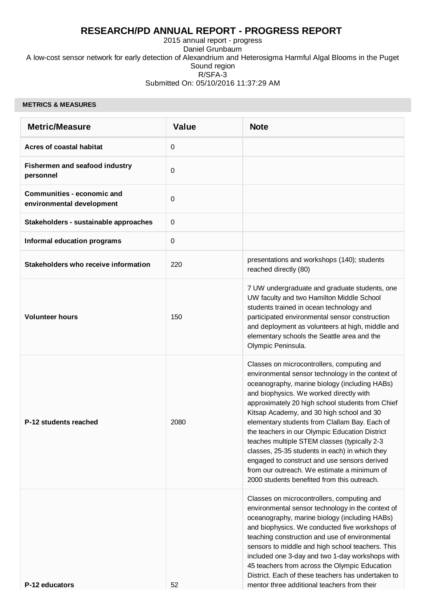# **RESEARCH/PD ANNUAL REPORT - PROGRESS REPORT**

2015 annual report - progress Daniel Grunbaum A low-cost sensor network for early detection of Alexandrium and Heterosigma Harmful Algal Blooms in the Puget Sound region R/SFA-3 Submitted On: 05/10/2016 11:37:29 AM

#### **METRICS & MEASURES**

| <b>Metric/Measure</b>                                          | <b>Value</b> | <b>Note</b>                                                                                                                                                                                                                                                                                                                                                                                                                                                                                                                                                                                                                                     |
|----------------------------------------------------------------|--------------|-------------------------------------------------------------------------------------------------------------------------------------------------------------------------------------------------------------------------------------------------------------------------------------------------------------------------------------------------------------------------------------------------------------------------------------------------------------------------------------------------------------------------------------------------------------------------------------------------------------------------------------------------|
| <b>Acres of coastal habitat</b>                                | 0            |                                                                                                                                                                                                                                                                                                                                                                                                                                                                                                                                                                                                                                                 |
| Fishermen and seafood industry<br>personnel                    | $\mathbf 0$  |                                                                                                                                                                                                                                                                                                                                                                                                                                                                                                                                                                                                                                                 |
| <b>Communities - economic and</b><br>environmental development | 0            |                                                                                                                                                                                                                                                                                                                                                                                                                                                                                                                                                                                                                                                 |
| Stakeholders - sustainable approaches                          | $\mathbf 0$  |                                                                                                                                                                                                                                                                                                                                                                                                                                                                                                                                                                                                                                                 |
| <b>Informal education programs</b>                             | 0            |                                                                                                                                                                                                                                                                                                                                                                                                                                                                                                                                                                                                                                                 |
| Stakeholders who receive information                           | 220          | presentations and workshops (140); students<br>reached directly (80)                                                                                                                                                                                                                                                                                                                                                                                                                                                                                                                                                                            |
| <b>Volunteer hours</b>                                         | 150          | 7 UW undergraduate and graduate students, one<br>UW faculty and two Hamilton Middle School<br>students trained in ocean technology and<br>participated environmental sensor construction<br>and deployment as volunteers at high, middle and<br>elementary schools the Seattle area and the<br>Olympic Peninsula.                                                                                                                                                                                                                                                                                                                               |
| P-12 students reached                                          | 2080         | Classes on microcontrollers, computing and<br>environmental sensor technology in the context of<br>oceanography, marine biology (including HABs)<br>and biophysics. We worked directly with<br>approximately 20 high school students from Chief<br>Kitsap Academy, and 30 high school and 30<br>elementary students from Clallam Bay. Each of<br>the teachers in our Olympic Education District<br>teaches multiple STEM classes (typically 2-3<br>classes, 25-35 students in each) in which they<br>engaged to construct and use sensors derived<br>from our outreach. We estimate a minimum of<br>2000 students benefited from this outreach. |
| P-12 educators                                                 | 52           | Classes on microcontrollers, computing and<br>environmental sensor technology in the context of<br>oceanography, marine biology (including HABs)<br>and biophysics. We conducted five workshops of<br>teaching construction and use of environmental<br>sensors to middle and high school teachers. This<br>included one 3-day and two 1-day workshops with<br>45 teachers from across the Olympic Education<br>District. Each of these teachers has undertaken to<br>mentor three additional teachers from their                                                                                                                               |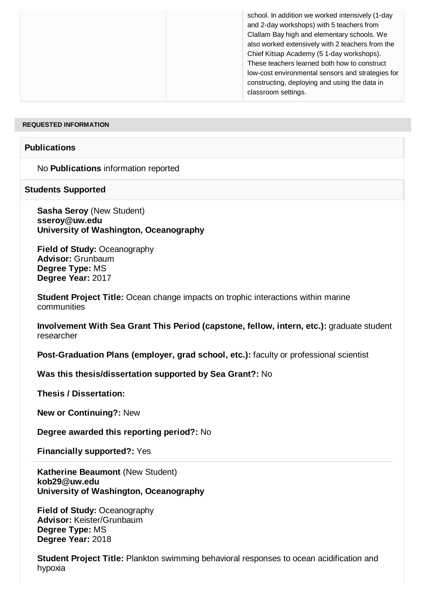#### **REQUESTED INFORMATION**

# **Publications**

No **Publications** information reported

#### **Students Supported**

**Sasha Seroy** (New Student) **sseroy@uw.edu University of Washington, Oceanography**

**Field of Study:** Oceanography **Advisor:** Grunbaum **Degree Type:** MS **Degree Year:** 2017

**Student Project Title:** Ocean change impacts on trophic interactions within marine communities

**Involvement With Sea Grant This Period (capstone, fellow, intern, etc.):** graduate student researcher

**Post-Graduation Plans (employer, grad school, etc.):** faculty or professional scientist

**Was this thesis/dissertation supported by Sea Grant?:** No

**Thesis / Dissertation:** 

**New or Continuing?:** New

**Degree awarded this reporting period?:** No

**Financially supported?:** Yes

**Katherine Beaumont** (New Student) **kob29@uw.edu University of Washington, Oceanography**

**Field of Study:** Oceanography **Advisor:** Keister/Grunbaum **Degree Type:** MS **Degree Year:** 2018

**Student Project Title:** Plankton swimming behavioral responses to ocean acidification and hypoxia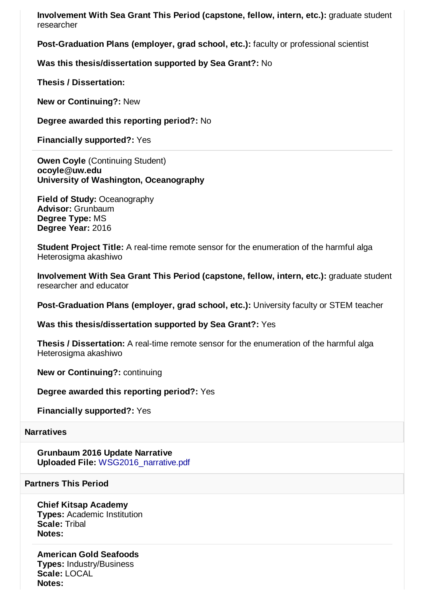**Involvement With Sea Grant This Period (capstone, fellow, intern, etc.):** graduate student researcher

**Post-Graduation Plans (employer, grad school, etc.):** faculty or professional scientist

**Was this thesis/dissertation supported by Sea Grant?:** No

**Thesis / Dissertation:** 

**New or Continuing?:** New

**Degree awarded this reporting period?:** No

**Financially supported?:** Yes

**Owen Coyle** (Continuing Student) **ocoyle@uw.edu University of Washington, Oceanography**

**Field of Study:** Oceanography **Advisor:** Grunbaum **Degree Type:** MS **Degree Year:** 2016

**Student Project Title:** A real-time remote sensor for the enumeration of the harmful alga Heterosigma akashiwo

**Involvement With Sea Grant This Period (capstone, fellow, intern, etc.):** graduate student researcher and educator

**Post-Graduation Plans (employer, grad school, etc.):** University faculty or STEM teacher

**Was this thesis/dissertation supported by Sea Grant?:** Yes

**Thesis / Dissertation:** A real-time remote sensor for the enumeration of the harmful alga Heterosigma akashiwo

**New or Continuing?:** continuing

**Degree awarded this reporting period?:** Yes

**Financially supported?:** Yes

## **Narratives**

**Grunbaum 2016 Update Narrative Uploaded File:** [WSG2016\\_narrative.pdf](http://esg.wsg.washington.edu/index.php?module=Narratives&action=DownloadFile&record=23783&fileid=23784)

### **Partners This Period**

### **Chief Kitsap Academy**

**Types:** Academic Institution **Scale:** Tribal **Notes:**

**American Gold Seafoods Types:** Industry/Business **Scale:** LOCAL **Notes:**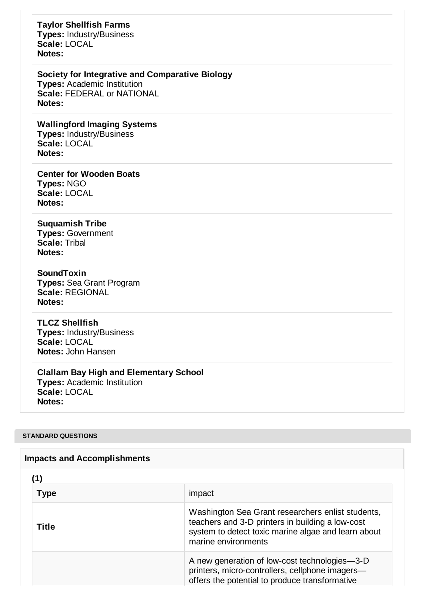# **Taylor Shellfish Farms**

**Types:** Industry/Business **Scale:** LOCAL **Notes:**

## **Society for Integrative and Comparative Biology**

**Types:** Academic Institution **Scale:** FEDERAL or NATIONAL **Notes:**

**Wallingford Imaging Systems Types:** Industry/Business **Scale:** LOCAL **Notes:**

**Center for Wooden Boats Types:** NGO **Scale:** LOCAL **Notes:**

# **Suquamish Tribe**

**Types:** Government **Scale:** Tribal **Notes:**

# **SoundToxin**

**Types:** Sea Grant Program **Scale:** REGIONAL **Notes:**

# **TLCZ Shellfish**

**Types:** Industry/Business **Scale:** LOCAL **Notes:** John Hansen

# **Clallam Bay High and Elementary School**

**Types:** Academic Institution **Scale:** LOCAL **Notes:**

#### **STANDARD QUESTIONS**

| <b>Impacts and Accomplishments</b> |                                                                                                                                                                                     |
|------------------------------------|-------------------------------------------------------------------------------------------------------------------------------------------------------------------------------------|
| (1)                                |                                                                                                                                                                                     |
| <b>Type</b>                        | impact                                                                                                                                                                              |
| Title                              | Washington Sea Grant researchers enlist students,<br>teachers and 3-D printers in building a low-cost<br>system to detect toxic marine algae and learn about<br>marine environments |
|                                    | A new generation of low-cost technologies—3-D<br>printers, micro-controllers, cellphone imagers-<br>offers the potential to produce transformative                                  |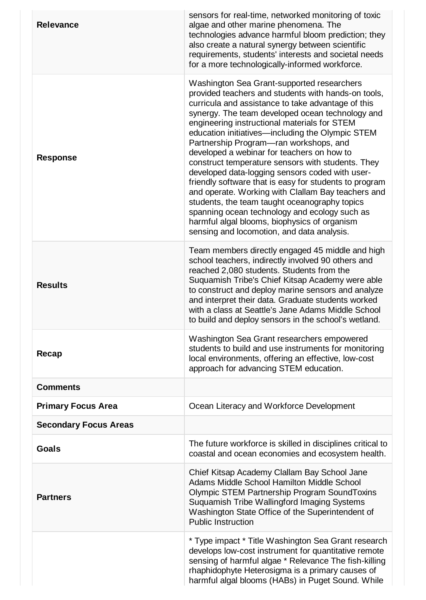| <b>Relevance</b>             | sensors for real-time, networked monitoring of toxic<br>algae and other marine phenomena. The<br>technologies advance harmful bloom prediction; they<br>also create a natural synergy between scientific<br>requirements, students' interests and societal needs<br>for a more technologically-informed workforce.                                                                                                                                                                                                                                                                                                                                                                                                                                                                                                              |
|------------------------------|---------------------------------------------------------------------------------------------------------------------------------------------------------------------------------------------------------------------------------------------------------------------------------------------------------------------------------------------------------------------------------------------------------------------------------------------------------------------------------------------------------------------------------------------------------------------------------------------------------------------------------------------------------------------------------------------------------------------------------------------------------------------------------------------------------------------------------|
| <b>Response</b>              | Washington Sea Grant-supported researchers<br>provided teachers and students with hands-on tools,<br>curricula and assistance to take advantage of this<br>synergy. The team developed ocean technology and<br>engineering instructional materials for STEM<br>education initiatives—including the Olympic STEM<br>Partnership Program-ran workshops, and<br>developed a webinar for teachers on how to<br>construct temperature sensors with students. They<br>developed data-logging sensors coded with user-<br>friendly software that is easy for students to program<br>and operate. Working with Clallam Bay teachers and<br>students, the team taught oceanography topics<br>spanning ocean technology and ecology such as<br>harmful algal blooms, biophysics of organism<br>sensing and locomotion, and data analysis. |
| <b>Results</b>               | Team members directly engaged 45 middle and high<br>school teachers, indirectly involved 90 others and<br>reached 2,080 students. Students from the<br>Suquamish Tribe's Chief Kitsap Academy were able<br>to construct and deploy marine sensors and analyze<br>and interpret their data. Graduate students worked<br>with a class at Seattle's Jane Adams Middle School<br>to build and deploy sensors in the school's wetland.                                                                                                                                                                                                                                                                                                                                                                                               |
| Recap                        | Washington Sea Grant researchers empowered<br>students to build and use instruments for monitoring<br>local environments, offering an effective, low-cost<br>approach for advancing STEM education.                                                                                                                                                                                                                                                                                                                                                                                                                                                                                                                                                                                                                             |
| <b>Comments</b>              |                                                                                                                                                                                                                                                                                                                                                                                                                                                                                                                                                                                                                                                                                                                                                                                                                                 |
| <b>Primary Focus Area</b>    | Ocean Literacy and Workforce Development                                                                                                                                                                                                                                                                                                                                                                                                                                                                                                                                                                                                                                                                                                                                                                                        |
| <b>Secondary Focus Areas</b> |                                                                                                                                                                                                                                                                                                                                                                                                                                                                                                                                                                                                                                                                                                                                                                                                                                 |
| <b>Goals</b>                 | The future workforce is skilled in disciplines critical to<br>coastal and ocean economies and ecosystem health.                                                                                                                                                                                                                                                                                                                                                                                                                                                                                                                                                                                                                                                                                                                 |
| <b>Partners</b>              | Chief Kitsap Academy Clallam Bay School Jane<br>Adams Middle School Hamilton Middle School<br><b>Olympic STEM Partnership Program SoundToxins</b><br>Suquamish Tribe Wallingford Imaging Systems<br>Washington State Office of the Superintendent of<br><b>Public Instruction</b>                                                                                                                                                                                                                                                                                                                                                                                                                                                                                                                                               |
|                              | * Type impact * Title Washington Sea Grant research<br>develops low-cost instrument for quantitative remote<br>sensing of harmful algae * Relevance The fish-killing<br>rhaphidophyte Heterosigma is a primary causes of<br>harmful algal blooms (HABs) in Puget Sound. While                                                                                                                                                                                                                                                                                                                                                                                                                                                                                                                                                   |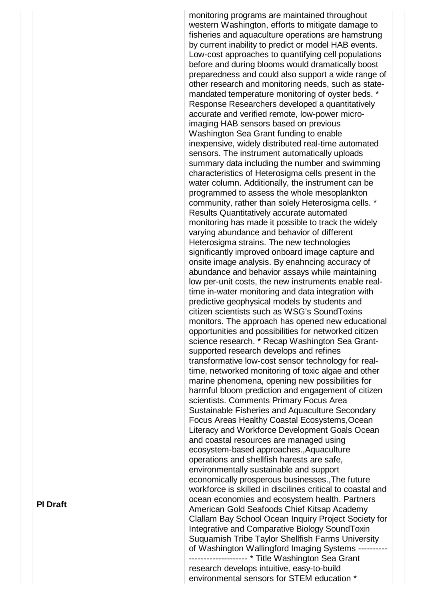monitoring programs are maintained throughout western Washington, efforts to mitigate damage to fisheries and aquaculture operations are hamstrung by current inability to predict or model HAB events. Low-cost approaches to quantifying cell populations before and during blooms would dramatically boost preparedness and could also support a wide range of other research and monitoring needs, such as statemandated temperature monitoring of oyster beds. \* Response Researchers developed a quantitatively accurate and verified remote, low-power microimaging HAB sensors based on previous Washington Sea Grant funding to enable inexpensive, widely distributed real-time automated sensors. The instrument automatically uploads summary data including the number and swimming characteristics of Heterosigma cells present in the water column. Additionally, the instrument can be programmed to assess the whole mesoplankton community, rather than solely Heterosigma cells. \* Results Quantitatively accurate automated monitoring has made it possible to track the widely varying abundance and behavior of different Heterosigma strains. The new technologies significantly improved onboard image capture and onsite image analysis. By enahncing accuracy of abundance and behavior assays while maintaining low per-unit costs, the new instruments enable realtime in-water monitoring and data integration with predictive geophysical models by students and citizen scientists such as WSG's SoundToxins monitors. The approach has opened new educational opportunities and possibilities for networked citizen science research. \* Recap Washington Sea Grantsupported research develops and refines transformative low-cost sensor technology for realtime, networked monitoring of toxic algae and other marine phenomena, opening new possibilities for harmful bloom prediction and engagement of citizen scientists. Comments Primary Focus Area Sustainable Fisheries and Aquaculture Secondary Focus Areas Healthy Coastal Ecosystems,Ocean Literacy and Workforce Development Goals Ocean and coastal resources are managed using ecosystem-based approaches.,Aquaculture operations and shellfish harests are safe, environmentally sustainable and support economically prosperous businesses.,The future workforce is skilled in discilines critical to coastal and ocean economies and ecosystem health. Partners American Gold Seafoods Chief Kitsap Academy Clallam Bay School Ocean Inquiry Project Society for Integrative and Comparative Biology SoundToxin Suquamish Tribe Taylor Shellfish Farms University of Washington Wallingford Imaging Systems ---------- -------------------- \* Title Washington Sea Grant research develops intuitive, easy-to-build environmental sensors for STEM education \*

**PI Draft**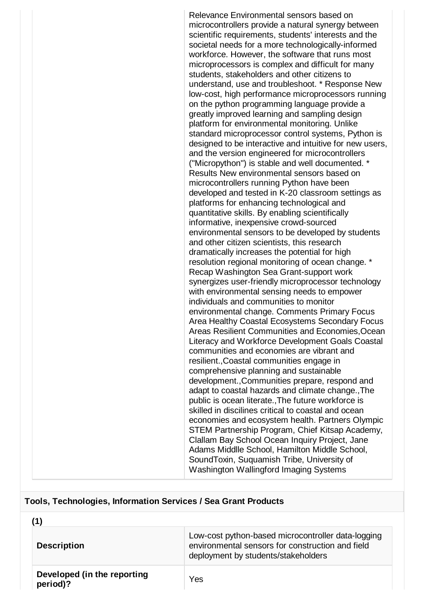Relevance Environmental sensors based on microcontrollers provide a natural synergy between scientific requirements, students' interests and the societal needs for a more technologically-informed workforce. However, the software that runs most microprocessors is complex and difficult for many students, stakeholders and other citizens to understand, use and troubleshoot. \* Response New low-cost, high performance microprocessors running on the python programming language provide a greatly improved learning and sampling design platform for environmental monitoring. Unlike standard microprocessor control systems, Python is designed to be interactive and intuitive for new users, and the version engineered for microcontrollers ("Micropython") is stable and well documented. \* Results New environmental sensors based on microcontrollers running Python have been developed and tested in K-20 classroom settings as platforms for enhancing technological and quantitative skills. By enabling scientifically informative, inexpensive crowd-sourced environmental sensors to be developed by students and other citizen scientists, this research dramatically increases the potential for high resolution regional monitoring of ocean change. \* Recap Washington Sea Grant-support work synergizes user-friendly microprocessor technology with environmental sensing needs to empower individuals and communities to monitor environmental change. Comments Primary Focus Area Healthy Coastal Ecosystems Secondary Focus Areas Resilient Communities and Economies,Ocean Literacy and Workforce Development Goals Coastal communities and economies are vibrant and resilient.,Coastal communities engage in comprehensive planning and sustainable development.,Communities prepare, respond and adapt to coastal hazards and climate change.,The public is ocean literate.,The future workforce is skilled in discilines critical to coastal and ocean economies and ecosystem health. Partners Olympic STEM Partnership Program, Chief Kitsap Academy, Clallam Bay School Ocean Inquiry Project, Jane Adams Middlle School, Hamilton Middle School, SoundToxin, Suquamish Tribe, University of Washington Wallingford Imaging Systems

### **Tools, Technologies, Information Services / Sea Grant Products**

| <b>Description</b>                      | Low-cost python-based microcontroller data-logging<br>environmental sensors for construction and field<br>deployment by students/stakeholders |
|-----------------------------------------|-----------------------------------------------------------------------------------------------------------------------------------------------|
| Developed (in the reporting<br>period)? | Yes                                                                                                                                           |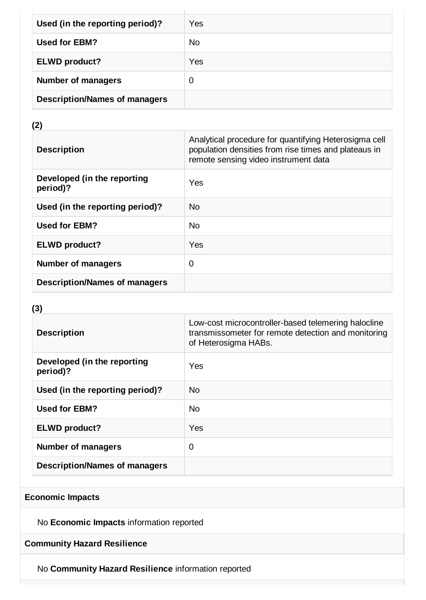| Used (in the reporting period)?      | Yes            |
|--------------------------------------|----------------|
| Used for EBM?                        | N <sub>0</sub> |
| <b>ELWD</b> product?                 | Yes            |
| <b>Number of managers</b>            | 0              |
| <b>Description/Names of managers</b> |                |

# **(2)**

| <b>Description</b>                      | Analytical procedure for quantifying Heterosigma cell<br>population densities from rise times and plateaus in<br>remote sensing video instrument data |
|-----------------------------------------|-------------------------------------------------------------------------------------------------------------------------------------------------------|
| Developed (in the reporting<br>period)? | Yes                                                                                                                                                   |
| Used (in the reporting period)?         | N <sub>0</sub>                                                                                                                                        |
| <b>Used for EBM?</b>                    | <b>No</b>                                                                                                                                             |
| <b>ELWD product?</b>                    | Yes                                                                                                                                                   |
| <b>Number of managers</b>               | $\mathbf 0$                                                                                                                                           |
| <b>Description/Names of managers</b>    |                                                                                                                                                       |

# **(3)**

| <b>Description</b>                      | Low-cost microcontroller-based telemering halocline<br>transmissometer for remote detection and monitoring<br>of Heterosigma HABs. |
|-----------------------------------------|------------------------------------------------------------------------------------------------------------------------------------|
| Developed (in the reporting<br>period)? | Yes                                                                                                                                |
| Used (in the reporting period)?         | No.                                                                                                                                |
| Used for EBM?                           | <b>No</b>                                                                                                                          |
| <b>ELWD product?</b>                    | Yes                                                                                                                                |
| <b>Number of managers</b>               | 0                                                                                                                                  |
| <b>Description/Names of managers</b>    |                                                                                                                                    |

# **Economic Impacts**

No **Economic Impacts** information reported

# **Community Hazard Resilience**

No **Community Hazard Resilience** information reported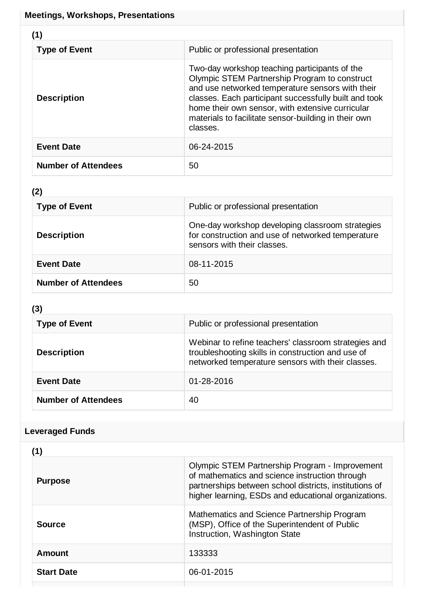| (1)                        |                                                                                                                                                                                                                                                                                                                                     |
|----------------------------|-------------------------------------------------------------------------------------------------------------------------------------------------------------------------------------------------------------------------------------------------------------------------------------------------------------------------------------|
| <b>Type of Event</b>       | Public or professional presentation                                                                                                                                                                                                                                                                                                 |
| <b>Description</b>         | Two-day workshop teaching participants of the<br>Olympic STEM Partnership Program to construct<br>and use networked temperature sensors with their<br>classes. Each participant successfully built and took<br>home their own sensor, with extensive curricular<br>materials to facilitate sensor-building in their own<br>classes. |
| <b>Event Date</b>          | 06-24-2015                                                                                                                                                                                                                                                                                                                          |
| <b>Number of Attendees</b> | 50                                                                                                                                                                                                                                                                                                                                  |

# **(2)**

| <b>Type of Event</b>       | Public or professional presentation                                                                                                  |
|----------------------------|--------------------------------------------------------------------------------------------------------------------------------------|
| <b>Description</b>         | One-day workshop developing classroom strategies<br>for construction and use of networked temperature<br>sensors with their classes. |
| <b>Event Date</b>          | 08-11-2015                                                                                                                           |
| <b>Number of Attendees</b> | 50                                                                                                                                   |

# **(3)**

| <b>Type of Event</b>       | Public or professional presentation                                                                                                                            |
|----------------------------|----------------------------------------------------------------------------------------------------------------------------------------------------------------|
| <b>Description</b>         | Webinar to refine teachers' classroom strategies and<br>troubleshooting skills in construction and use of<br>networked temperature sensors with their classes. |
| <b>Event Date</b>          | 01-28-2016                                                                                                                                                     |
| <b>Number of Attendees</b> | 40                                                                                                                                                             |

# **Leveraged Funds**

| Olympic STEM Partnership Program - Improvement<br>of mathematics and science instruction through<br>partnerships between school districts, institutions of<br>higher learning, ESDs and educational organizations. |
|--------------------------------------------------------------------------------------------------------------------------------------------------------------------------------------------------------------------|
| Mathematics and Science Partnership Program<br>(MSP), Office of the Superintendent of Public<br>Instruction, Washington State                                                                                      |
| 133333                                                                                                                                                                                                             |
| 06-01-2015                                                                                                                                                                                                         |
|                                                                                                                                                                                                                    |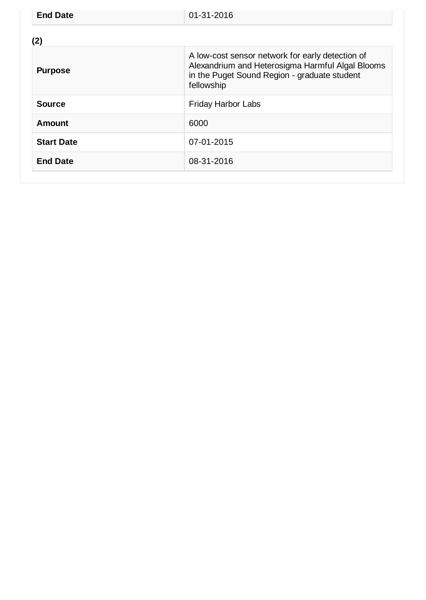| <b>End Date</b>   | 01-31-2016                                                                                                                                                         |
|-------------------|--------------------------------------------------------------------------------------------------------------------------------------------------------------------|
| (2)               |                                                                                                                                                                    |
| <b>Purpose</b>    | A low-cost sensor network for early detection of<br>Alexandrium and Heterosigma Harmful Algal Blooms<br>in the Puget Sound Region - graduate student<br>fellowship |
| <b>Source</b>     | <b>Friday Harbor Labs</b>                                                                                                                                          |
| Amount            | 6000                                                                                                                                                               |
| <b>Start Date</b> | 07-01-2015                                                                                                                                                         |
| <b>End Date</b>   | 08-31-2016                                                                                                                                                         |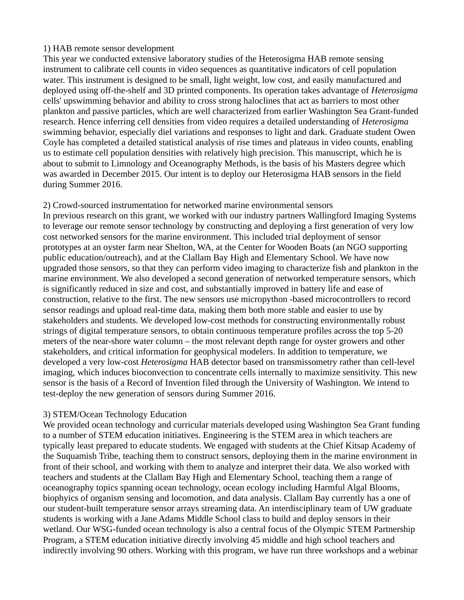## 1) HAB remote sensor development

This year we conducted extensive laboratory studies of the Heterosigma HAB remote sensing instrument to calibrate cell counts in video sequences as quantitative indicators of cell population water. This instrument is designed to be small, light weight, low cost, and easily manufactured and deployed using off-the-shelf and 3D printed components. Its operation takes advantage of *Heterosigma* cells' upswimming behavior and ability to cross strong haloclines that act as barriers to most other plankton and passive particles, which are well characterized from earlier Washington Sea Grant-funded research. Hence inferring cell densities from video requires a detailed understanding of *Heterosigma* swimming behavior, especially diel variations and responses to light and dark. Graduate student Owen Coyle has completed a detailed statistical analysis of rise times and plateaus in video counts, enabling us to estimate cell population densities with relatively high precision. This manuscript, which he is about to submit to Limnology and Oceanography Methods, is the basis of his Masters degree which was awarded in December 2015. Our intent is to deploy our Heterosigma HAB sensors in the field during Summer 2016.

## 2) Crowd-sourced instrumentation for networked marine environmental sensors

In previous research on this grant, we worked with our industry partners Wallingford Imaging Systems to leverage our remote sensor technology by constructing and deploying a first generation of very low cost networked sensors for the marine environment. This included trial deployment of sensor prototypes at an oyster farm near Shelton, WA, at the Center for Wooden Boats (an NGO supporting public education/outreach), and at the Clallam Bay High and Elementary School. We have now upgraded those sensors, so that they can perform video imaging to characterize fish and plankton in the marine environment. We also developed a second generation of networked temperature sensors, which is significantly reduced in size and cost, and substantially improved in battery life and ease of construction, relative to the first. The new sensors use micropython -based microcontrollers to record sensor readings and upload real-time data, making them both more stable and easier to use by stakeholders and students. We developed low-cost methods for constructing environmentally robust strings of digital temperature sensors, to obtain continuous temperature profiles across the top 5-20 meters of the near-shore water column – the most relevant depth range for oyster growers and other stakeholders, and critical information for geophysical modelers. In addition to temperature, we developed a very low-cost *Heterosigma* HAB detector based on transmissometry rather than cell-level imaging, which induces bioconvection to concentrate cells internally to maximize sensitivity. This new sensor is the basis of a Record of Invention filed through the University of Washington. We intend to test-deploy the new generation of sensors during Summer 2016.

# 3) STEM/Ocean Technology Education

We provided ocean technology and curricular materials developed using Washington Sea Grant funding to a number of STEM education initiatives. Engineering is the STEM area in which teachers are typically least prepared to educate students. We engaged with students at the Chief Kitsap Academy of the Suquamish Tribe, teaching them to construct sensors, deploying them in the marine environment in front of their school, and working with them to analyze and interpret their data. We also worked with teachers and students at the Clallam Bay High and Elementary School, teaching them a range of oceanography topics spanning ocean technology, ocean ecology including Harmful Algal Blooms, biophyics of organism sensing and locomotion, and data analysis. Clallam Bay currently has a one of our student-built temperature sensor arrays streaming data. An interdisciplinary team of UW graduate students is working with a Jane Adams Middle School class to build and deploy sensors in their wetland. Our WSG-funded ocean technology is also a central focus of the Olympic STEM Partnership Program, a STEM education initiative directly involving 45 middle and high school teachers and indirectly involving 90 others. Working with this program, we have run three workshops and a webinar